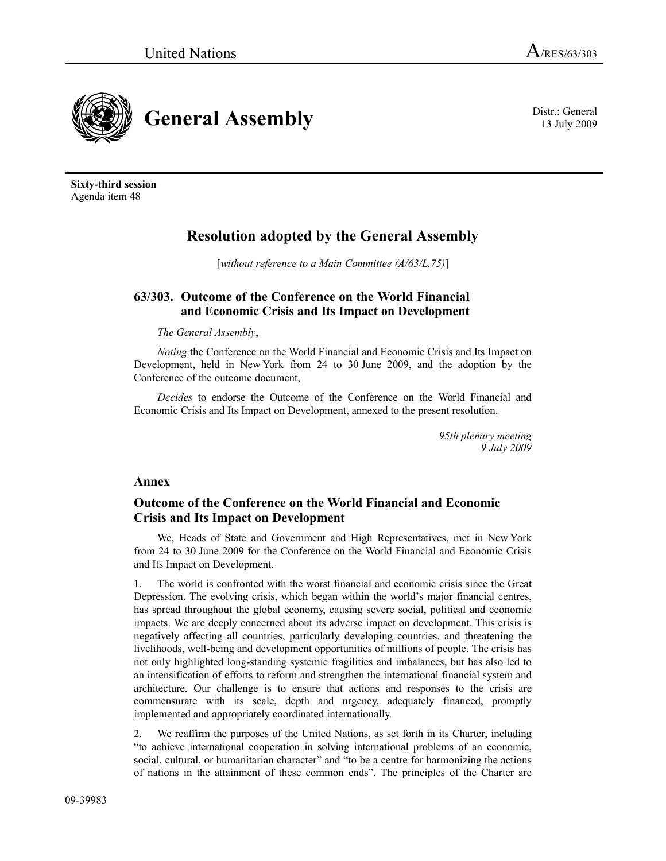

13 July 2009

**Sixty-third session** Agenda item 48

# **Resolution adopted by the General Assembly**

[*without reference to a Main Committee (A/63/L.75)*]

## **63/303. Outcome of the Conference on the World Financial and Economic Crisis and Its Impact on Development**

### *The General Assembly*,

*Noting* the Conference on the World Financial and Economic Crisis and Its Impact on Development, held in New York from 24 to 30 June 2009, and the adoption by the Conference of the outcome document,

*Decides* to endorse the Outcome of the Conference on the World Financial and Economic Crisis and Its Impact on Development, annexed to the present resolution.

> *95th plenary meeting 9 July 2009*

### **Annex**

## **Outcome of the Conference on the World Financial and Economic Crisis and Its Impact on Development**

We, Heads of State and Government and High Representatives, met in New York from 24 to 30 June 2009 for the Conference on the World Financial and Economic Crisis and Its Impact on Development.

1. The world is confronted with the worst financial and economic crisis since the Great Depression. The evolving crisis, which began within the world's major financial centres, has spread throughout the global economy, causing severe social, political and economic impacts. We are deeply concerned about its adverse impact on development. This crisis is negatively affecting all countries, particularly developing countries, and threatening the livelihoods, well-being and development opportunities of millions of people. The crisis has not only highlighted long-standing systemic fragilities and imbalances, but has also led to an intensification of efforts to reform and strengthen the international financial system and architecture. Our challenge is to ensure that actions and responses to the crisis are commensurate with its scale, depth and urgency, adequately financed, promptly implemented and appropriately coordinated internationally.

2. We reaffirm the purposes of the United Nations, as set forth in its Charter, including "to achieve international cooperation in solving international problems of an economic, social, cultural, or humanitarian character" and "to be a centre for harmonizing the actions of nations in the attainment of these common ends". The principles of the Charter are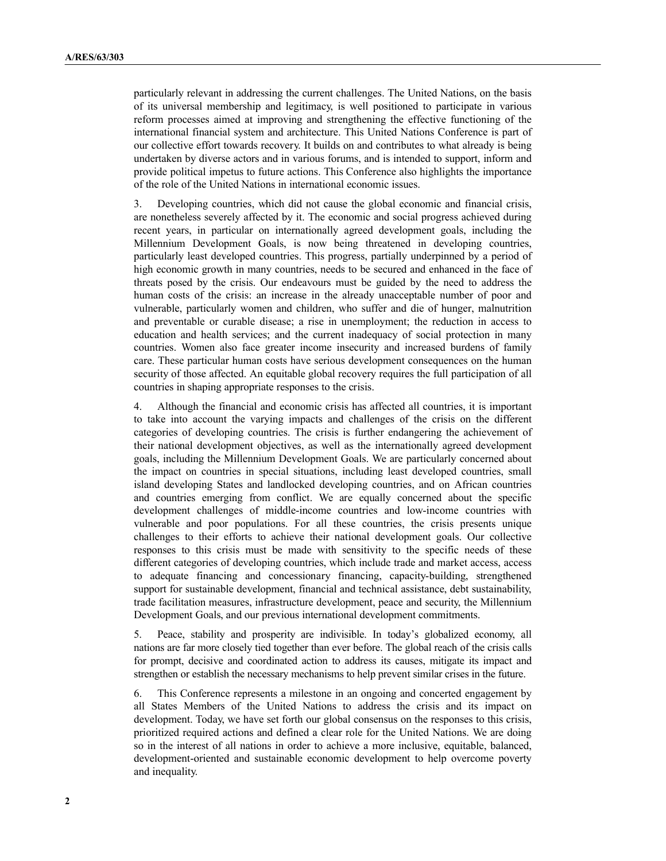particularly relevant in addressing the current challenges. The United Nations, on the basis of its universal membership and legitimacy, is well positioned to participate in various reform processes aimed at improving and strengthening the effective functioning of the international financial system and architecture. This United Nations Conference is part of our collective effort towards recovery. It builds on and contributes to what already is being undertaken by diverse actors and in various forums, and is intended to support, inform and provide political impetus to future actions. This Conference also highlights the importance of the role of the United Nations in international economic issues.

3. Developing countries, which did not cause the global economic and financial crisis, are nonetheless severely affected by it. The economic and social progress achieved during recent years, in particular on internationally agreed development goals, including the Millennium Development Goals, is now being threatened in developing countries, particularly least developed countries. This progress, partially underpinned by a period of high economic growth in many countries, needs to be secured and enhanced in the face of threats posed by the crisis. Our endeavours must be guided by the need to address the human costs of the crisis: an increase in the already unacceptable number of poor and vulnerable, particularly women and children, who suffer and die of hunger, malnutrition and preventable or curable disease; a rise in unemployment; the reduction in access to education and health services; and the current inadequacy of social protection in many countries. Women also face greater income insecurity and increased burdens of family care. These particular human costs have serious development consequences on the human security of those affected. An equitable global recovery requires the full participation of all countries in shaping appropriate responses to the crisis.

4. Although the financial and economic crisis has affected all countries, it is important to take into account the varying impacts and challenges of the crisis on the different categories of developing countries. The crisis is further endangering the achievement of their national development objectives, as well as the internationally agreed development goals, including the Millennium Development Goals. We are particularly concerned about the impact on countries in special situations, including least developed countries, small island developing States and landlocked developing countries, and on African countries and countries emerging from conflict. We are equally concerned about the specific development challenges of middle-income countries and low-income countries with vulnerable and poor populations. For all these countries, the crisis presents unique challenges to their efforts to achieve their national development goals. Our collective responses to this crisis must be made with sensitivity to the specific needs of these different categories of developing countries, which include trade and market access, access to adequate financing and concessionary financing, capacity-building, strengthened support for sustainable development, financial and technical assistance, debt sustainability, trade facilitation measures, infrastructure development, peace and security, the Millennium Development Goals, and our previous international development commitments.

5. Peace, stability and prosperity are indivisible. In today's globalized economy, all nations are far more closely tied together than ever before. The global reach of the crisis calls for prompt, decisive and coordinated action to address its causes, mitigate its impact and strengthen or establish the necessary mechanisms to help prevent similar crises in the future.

6. This Conference represents a milestone in an ongoing and concerted engagement by all States Members of the United Nations to address the crisis and its impact on development. Today, we have set forth our global consensus on the responses to this crisis, prioritized required actions and defined a clear role for the United Nations. We are doing so in the interest of all nations in order to achieve a more inclusive, equitable, balanced, development-oriented and sustainable economic development to help overcome poverty and inequality.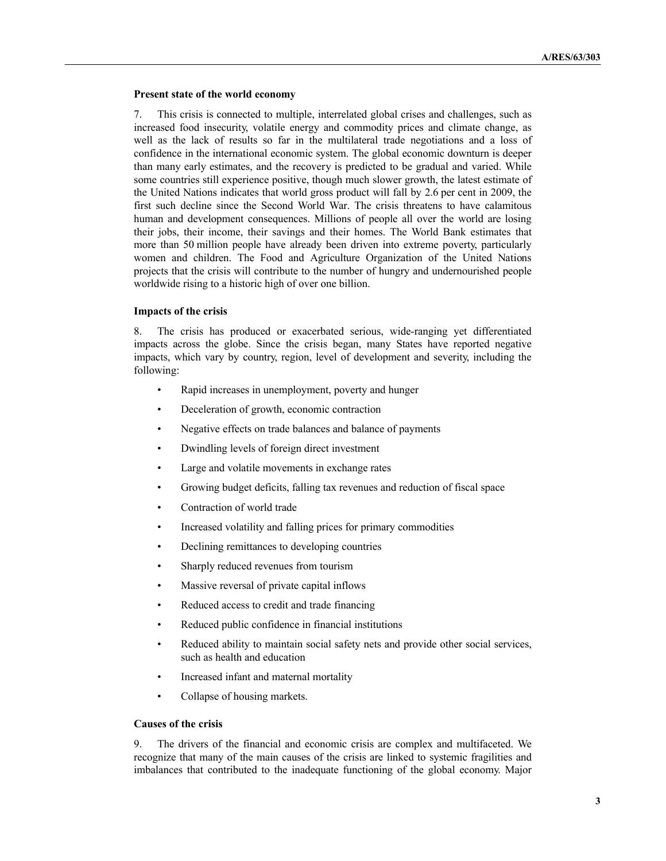#### **Present state of the world economy**

7. This crisis is connected to multiple, interrelated global crises and challenges, such as increased food insecurity, volatile energy and commodity prices and climate change, as well as the lack of results so far in the multilateral trade negotiations and a loss of confidence in the international economic system. The global economic downturn is deeper than many early estimates, and the recovery is predicted to be gradual and varied. While some countries still experience positive, though much slower growth, the latest estimate of the United Nations indicates that world gross product will fall by 2.6 per cent in 2009, the first such decline since the Second World War. The crisis threatens to have calamitous human and development consequences. Millions of people all over the world are losing their jobs, their income, their savings and their homes. The World Bank estimates that more than 50 million people have already been driven into extreme poverty, particularly women and children. The Food and Agriculture Organization of the United Nations projects that the crisis will contribute to the number of hungry and undernourished people worldwide rising to a historic high of over one billion.

#### **Impacts of the crisis**

8. The crisis has produced or exacerbated serious, wide-ranging yet differentiated impacts across the globe. Since the crisis began, many States have reported negative impacts, which vary by country, region, level of development and severity, including the following:

- Rapid increases in unemployment, poverty and hunger
- Deceleration of growth, economic contraction
- Negative effects on trade balances and balance of payments
- Dwindling levels of foreign direct investment
- Large and volatile movements in exchange rates
- Growing budget deficits, falling tax revenues and reduction of fiscal space
- Contraction of world trade
- Increased volatility and falling prices for primary commodities
- Declining remittances to developing countries
- Sharply reduced revenues from tourism
- Massive reversal of private capital inflows
- Reduced access to credit and trade financing
- Reduced public confidence in financial institutions
- Reduced ability to maintain social safety nets and provide other social services, such as health and education
- Increased infant and maternal mortality
- Collapse of housing markets.

## **Causes of the crisis**

9. The drivers of the financial and economic crisis are complex and multifaceted. We recognize that many of the main causes of the crisis are linked to systemic fragilities and imbalances that contributed to the inadequate functioning of the global economy. Major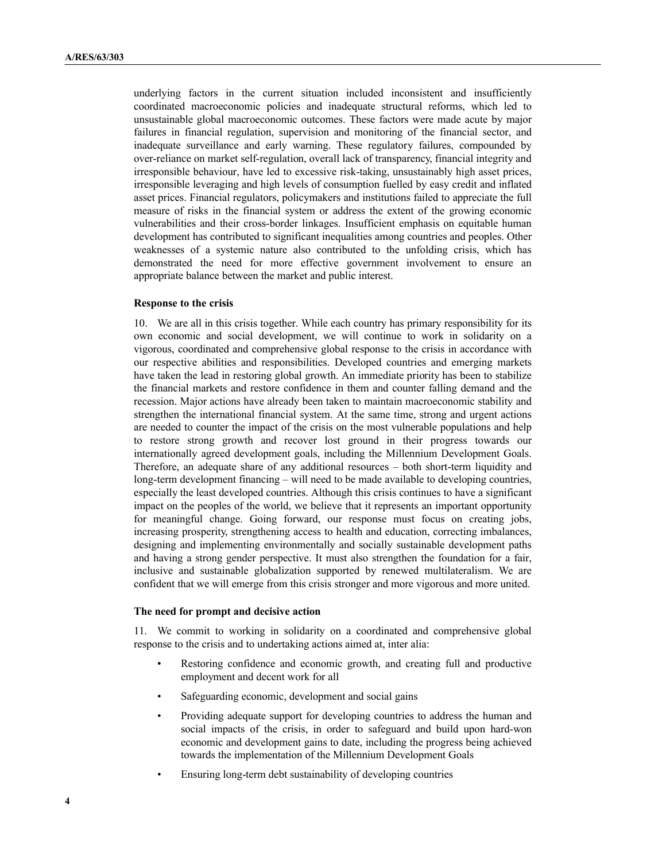underlying factors in the current situation included inconsistent and insufficiently coordinated macroeconomic policies and inadequate structural reforms, which led to unsustainable global macroeconomic outcomes. These factors were made acute by major failures in financial regulation, supervision and monitoring of the financial sector, and inadequate surveillance and early warning. These regulatory failures, compounded by over-reliance on market self-regulation, overall lack of transparency, financial integrity and irresponsible behaviour, have led to excessive risk-taking, unsustainably high asset prices, irresponsible leveraging and high levels of consumption fuelled by easy credit and inflated asset prices. Financial regulators, policymakers and institutions failed to appreciate the full measure of risks in the financial system or address the extent of the growing economic vulnerabilities and their cross-border linkages. Insufficient emphasis on equitable human development has contributed to significant inequalities among countries and peoples. Other weaknesses of a systemic nature also contributed to the unfolding crisis, which has demonstrated the need for more effective government involvement to ensure an appropriate balance between the market and public interest.

#### **Response to the crisis**

10. We are all in this crisis together. While each country has primary responsibility for its own economic and social development, we will continue to work in solidarity on a vigorous, coordinated and comprehensive global response to the crisis in accordance with our respective abilities and responsibilities. Developed countries and emerging markets have taken the lead in restoring global growth. An immediate priority has been to stabilize the financial markets and restore confidence in them and counter falling demand and the recession. Major actions have already been taken to maintain macroeconomic stability and strengthen the international financial system. At the same time, strong and urgent actions are needed to counter the impact of the crisis on the most vulnerable populations and help to restore strong growth and recover lost ground in their progress towards our internationally agreed development goals, including the Millennium Development Goals. Therefore, an adequate share of any additional resources – both short-term liquidity and long-term development financing – will need to be made available to developing countries, especially the least developed countries. Although this crisis continues to have a significant impact on the peoples of the world, we believe that it represents an important opportunity for meaningful change. Going forward, our response must focus on creating jobs, increasing prosperity, strengthening access to health and education, correcting imbalances, designing and implementing environmentally and socially sustainable development paths and having a strong gender perspective. It must also strengthen the foundation for a fair, inclusive and sustainable globalization supported by renewed multilateralism. We are confident that we will emerge from this crisis stronger and more vigorous and more united.

#### **The need for prompt and decisive action**

11. We commit to working in solidarity on a coordinated and comprehensive global response to the crisis and to undertaking actions aimed at, inter alia:

- Restoring confidence and economic growth, and creating full and productive employment and decent work for all
- Safeguarding economic, development and social gains
- Providing adequate support for developing countries to address the human and social impacts of the crisis, in order to safeguard and build upon hard-won economic and development gains to date, including the progress being achieved towards the implementation of the Millennium Development Goals
- Ensuring long-term debt sustainability of developing countries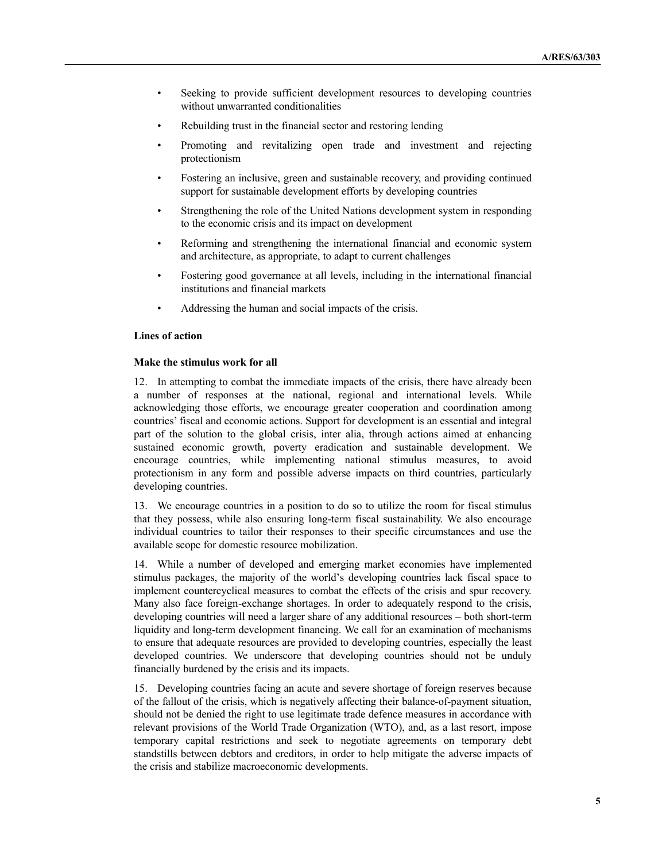- Seeking to provide sufficient development resources to developing countries without unwarranted conditionalities
- Rebuilding trust in the financial sector and restoring lending
- Promoting and revitalizing open trade and investment and rejecting protectionism
- Fostering an inclusive, green and sustainable recovery, and providing continued support for sustainable development efforts by developing countries
- Strengthening the role of the United Nations development system in responding to the economic crisis and its impact on development
- Reforming and strengthening the international financial and economic system and architecture, as appropriate, to adapt to current challenges
- Fostering good governance at all levels, including in the international financial institutions and financial markets
- Addressing the human and social impacts of the crisis.

#### **Lines of action**

#### **Make the stimulus work for all**

12. In attempting to combat the immediate impacts of the crisis, there have already been a number of responses at the national, regional and international levels. While acknowledging those efforts, we encourage greater cooperation and coordination among countries' fiscal and economic actions. Support for development is an essential and integral part of the solution to the global crisis, inter alia, through actions aimed at enhancing sustained economic growth, poverty eradication and sustainable development. We encourage countries, while implementing national stimulus measures, to avoid protectionism in any form and possible adverse impacts on third countries, particularly developing countries.

13. We encourage countries in a position to do so to utilize the room for fiscal stimulus that they possess, while also ensuring long-term fiscal sustainability. We also encourage individual countries to tailor their responses to their specific circumstances and use the available scope for domestic resource mobilization.

14. While a number of developed and emerging market economies have implemented stimulus packages, the majority of the world's developing countries lack fiscal space to implement countercyclical measures to combat the effects of the crisis and spur recovery. Many also face foreign-exchange shortages. In order to adequately respond to the crisis, developing countries will need a larger share of any additional resources – both short-term liquidity and long-term development financing. We call for an examination of mechanisms to ensure that adequate resources are provided to developing countries, especially the least developed countries. We underscore that developing countries should not be unduly financially burdened by the crisis and its impacts.

15. Developing countries facing an acute and severe shortage of foreign reserves because of the fallout of the crisis, which is negatively affecting their balance-of-payment situation, should not be denied the right to use legitimate trade defence measures in accordance with relevant provisions of the World Trade Organization (WTO), and, as a last resort, impose temporary capital restrictions and seek to negotiate agreements on temporary debt standstills between debtors and creditors, in order to help mitigate the adverse impacts of the crisis and stabilize macroeconomic developments.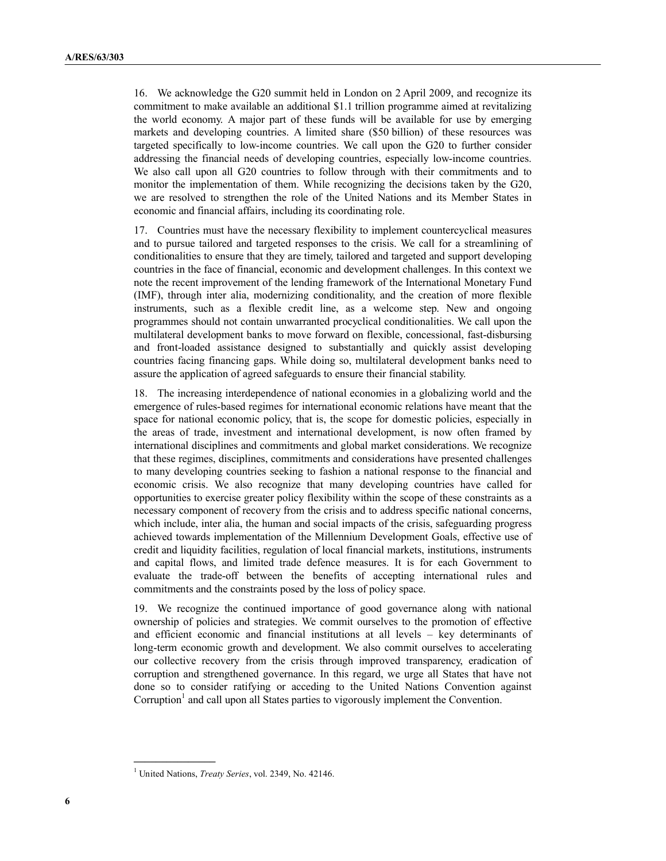16. We acknowledge the G20 summit held in London on 2 April 2009, and recognize its commitment to make available an additional \$1.1 trillion programme aimed at revitalizing the world economy. A major part of these funds will be available for use by emerging markets and developing countries. A limited share (\$50 billion) of these resources was targeted specifically to low-income countries. We call upon the G20 to further consider addressing the financial needs of developing countries, especially low-income countries. We also call upon all G20 countries to follow through with their commitments and to monitor the implementation of them. While recognizing the decisions taken by the G20, we are resolved to strengthen the role of the United Nations and its Member States in economic and financial affairs, including its coordinating role.

17. Countries must have the necessary flexibility to implement countercyclical measures and to pursue tailored and targeted responses to the crisis. We call for a streamlining of conditionalities to ensure that they are timely, tailored and targeted and support developing countries in the face of financial, economic and development challenges. In this context we note the recent improvement of the lending framework of the International Monetary Fund (IMF), through inter alia, modernizing conditionality, and the creation of more flexible instruments, such as a flexible credit line, as a welcome step. New and ongoing programmes should not contain unwarranted procyclical conditionalities. We call upon the multilateral development banks to move forward on flexible, concessional, fast-disbursing and front-loaded assistance designed to substantially and quickly assist developing countries facing financing gaps. While doing so, multilateral development banks need to assure the application of agreed safeguards to ensure their financial stability.

18. The increasing interdependence of national economies in a globalizing world and the emergence of rules-based regimes for international economic relations have meant that the space for national economic policy, that is, the scope for domestic policies, especially in the areas of trade, investment and international development, is now often framed by international disciplines and commitments and global market considerations. We recognize that these regimes, disciplines, commitments and considerations have presented challenges to many developing countries seeking to fashion a national response to the financial and economic crisis. We also recognize that many developing countries have called for opportunities to exercise greater policy flexibility within the scope of these constraints as a necessary component of recovery from the crisis and to address specific national concerns, which include, inter alia, the human and social impacts of the crisis, safeguarding progress achieved towards implementation of the Millennium Development Goals, effective use of credit and liquidity facilities, regulation of local financial markets, institutions, instruments and capital flows, and limited trade defence measures. It is for each Government to evaluate the trade-off between the benefits of accepting international rules and commitments and the constraints posed by the loss of policy space.

19. We recognize the continued importance of good governance along with national ownership of policies and strategies. We commit ourselves to the promotion of effective and efficient economic and financial institutions at all levels – key determinants of long-term economic growth and development. We also commit ourselves to accelerating our collective recovery from the crisis through improved transparency, eradication of corruption and strengthened governance. In this regard, we urge all States that have not done so to consider ratifying or acceding to the United Nations Convention against Corruption<sup>1</sup> and call upon all States parties to vigorously implement the Convention.

**\_\_\_\_\_\_\_\_\_\_\_\_\_\_\_**

<sup>1</sup> United Nations, *Treaty Series*, vol. 2349, No. 42146.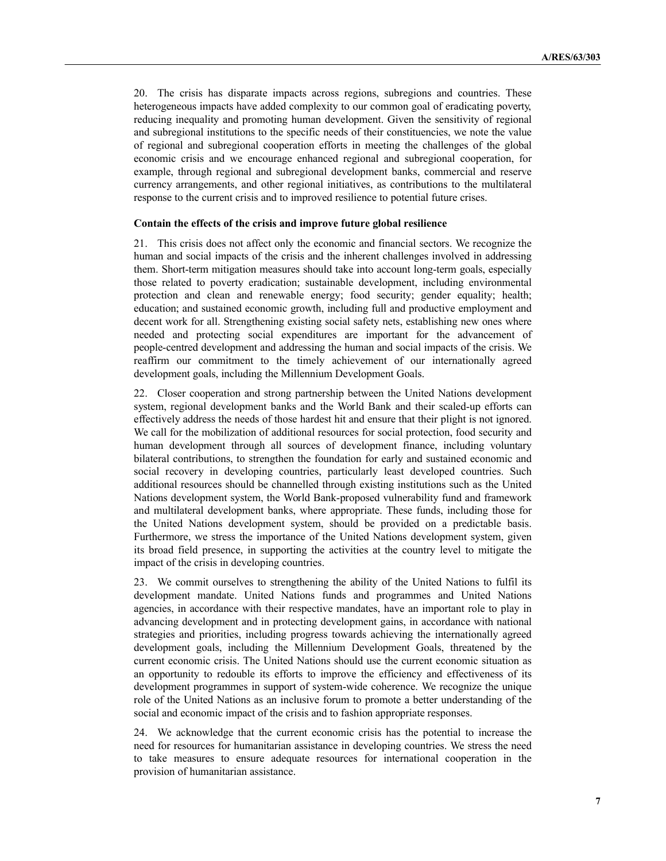20. The crisis has disparate impacts across regions, subregions and countries. These heterogeneous impacts have added complexity to our common goal of eradicating poverty, reducing inequality and promoting human development. Given the sensitivity of regional and subregional institutions to the specific needs of their constituencies, we note the value of regional and subregional cooperation efforts in meeting the challenges of the global economic crisis and we encourage enhanced regional and subregional cooperation, for example, through regional and subregional development banks, commercial and reserve currency arrangements, and other regional initiatives, as contributions to the multilateral response to the current crisis and to improved resilience to potential future crises.

#### **Contain the effects of the crisis and improve future global resilience**

21. This crisis does not affect only the economic and financial sectors. We recognize the human and social impacts of the crisis and the inherent challenges involved in addressing them. Short-term mitigation measures should take into account long-term goals, especially those related to poverty eradication; sustainable development, including environmental protection and clean and renewable energy; food security; gender equality; health; education; and sustained economic growth, including full and productive employment and decent work for all. Strengthening existing social safety nets, establishing new ones where needed and protecting social expenditures are important for the advancement of people-centred development and addressing the human and social impacts of the crisis. We reaffirm our commitment to the timely achievement of our internationally agreed development goals, including the Millennium Development Goals.

22. Closer cooperation and strong partnership between the United Nations development system, regional development banks and the World Bank and their scaled-up efforts can effectively address the needs of those hardest hit and ensure that their plight is not ignored. We call for the mobilization of additional resources for social protection, food security and human development through all sources of development finance, including voluntary bilateral contributions, to strengthen the foundation for early and sustained economic and social recovery in developing countries, particularly least developed countries. Such additional resources should be channelled through existing institutions such as the United Nations development system, the World Bank-proposed vulnerability fund and framework and multilateral development banks, where appropriate. These funds, including those for the United Nations development system, should be provided on a predictable basis. Furthermore, we stress the importance of the United Nations development system, given its broad field presence, in supporting the activities at the country level to mitigate the impact of the crisis in developing countries.

23. We commit ourselves to strengthening the ability of the United Nations to fulfil its development mandate. United Nations funds and programmes and United Nations agencies, in accordance with their respective mandates, have an important role to play in advancing development and in protecting development gains, in accordance with national strategies and priorities, including progress towards achieving the internationally agreed development goals, including the Millennium Development Goals, threatened by the current economic crisis. The United Nations should use the current economic situation as an opportunity to redouble its efforts to improve the efficiency and effectiveness of its development programmes in support of system-wide coherence. We recognize the unique role of the United Nations as an inclusive forum to promote a better understanding of the social and economic impact of the crisis and to fashion appropriate responses.

24. We acknowledge that the current economic crisis has the potential to increase the need for resources for humanitarian assistance in developing countries. We stress the need to take measures to ensure adequate resources for international cooperation in the provision of humanitarian assistance.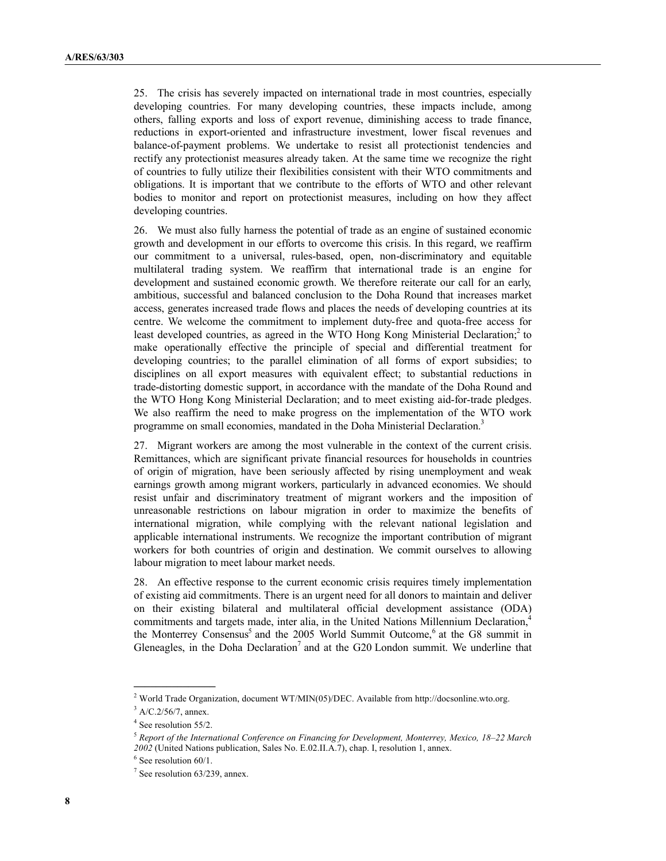25. The crisis has severely impacted on international trade in most countries, especially developing countries. For many developing countries, these impacts include, among others, falling exports and loss of export revenue, diminishing access to trade finance, reductions in export-oriented and infrastructure investment, lower fiscal revenues and balance-of-payment problems. We undertake to resist all protectionist tendencies and rectify any protectionist measures already taken. At the same time we recognize the right of countries to fully utilize their flexibilities consistent with their WTO commitments and obligations. It is important that we contribute to the efforts of WTO and other relevant bodies to monitor and report on protectionist measures, including on how they affect developing countries.

26. We must also fully harness the potential of trade as an engine of sustained economic growth and development in our efforts to overcome this crisis. In this regard, we reaffirm our commitment to a universal, rules-based, open, non-discriminatory and equitable multilateral trading system. We reaffirm that international trade is an engine for development and sustained economic growth. We therefore reiterate our call for an early, ambitious, successful and balanced conclusion to the Doha Round that increases market access, generates increased trade flows and places the needs of developing countries at its centre. We welcome the commitment to implement duty-free and quota-free access for least developed countries, as agreed in the WTO Hong Kong Ministerial Declaration;<sup>2</sup> to make operationally effective the principle of special and differential treatment for developing countries; to the parallel elimination of all forms of export subsidies; to disciplines on all export measures with equivalent effect; to substantial reductions in trade-distorting domestic support, in accordance with the mandate of the Doha Round and the WTO Hong Kong Ministerial Declaration; and to meet existing aid-for-trade pledges. We also reaffirm the need to make progress on the implementation of the WTO work programme on small economies, mandated in the Doha Ministerial Declaration.<sup>3</sup>

27. Migrant workers are among the most vulnerable in the context of the current crisis. Remittances, which are significant private financial resources for households in countries of origin of migration, have been seriously affected by rising unemployment and weak earnings growth among migrant workers, particularly in advanced economies. We should resist unfair and discriminatory treatment of migrant workers and the imposition of unreasonable restrictions on labour migration in order to maximize the benefits of international migration, while complying with the relevant national legislation and applicable international instruments. We recognize the important contribution of migrant workers for both countries of origin and destination. We commit ourselves to allowing labour migration to meet labour market needs.

28. An effective response to the current economic crisis requires timely implementation of existing aid commitments. There is an urgent need for all donors to maintain and deliver on their existing bilateral and multilateral official development assistance (ODA) commitments and targets made, inter alia, in the United Nations Millennium Declaration,<sup>4</sup> the Monterrey Consensus<sup>5</sup> and the 2005 World Summit Outcome,<sup>6</sup> at the G8 summit in Gleneagles, in the Doha Declaration<sup>7</sup> and at the G20 London summit. We underline that

**\_\_\_\_\_\_\_\_\_\_\_\_\_\_\_**

<sup>2</sup> World Trade Organization, document WT/MIN(05)/DEC. Available from <http://docsonline.wto.org.>

 $3$  A/C.2/56/7, annex.

<sup>&</sup>lt;sup>4</sup> See resolution 55/2.

<sup>5</sup> *Report of the International Conference on Financing for Development, Monterrey, Mexico, 18–22 March 2002* (United Nations publication, Sales No. E.02.II.A.7), chap. I, resolution 1, annex.

<sup>&</sup>lt;sup>6</sup> See resolution 60/1.

 $7$  See resolution 63/239, annex.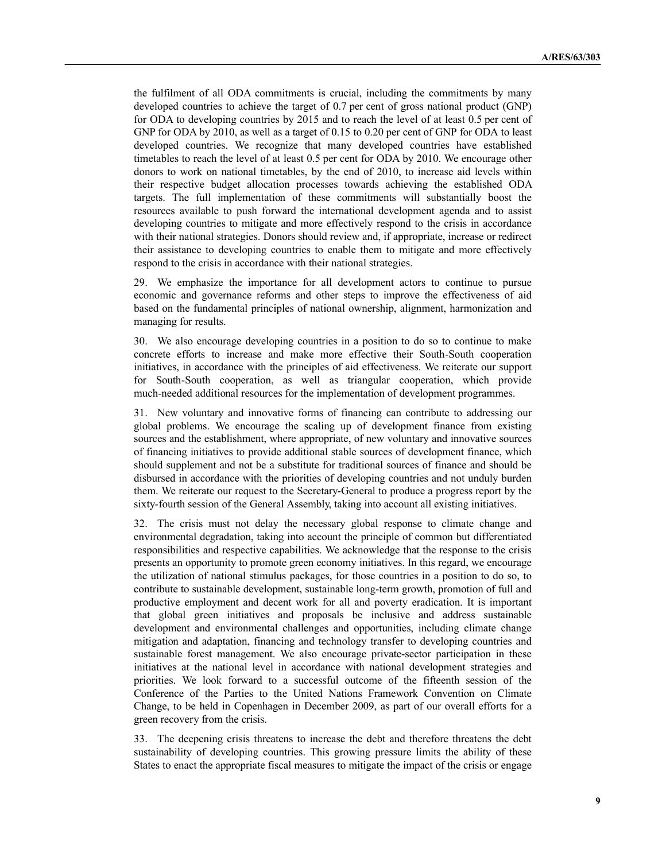the fulfilment of all ODA commitments is crucial, including the commitments by many developed countries to achieve the target of 0.7 per cent of gross national product (GNP) for ODA to developing countries by 2015 and to reach the level of at least 0.5 per cent of GNP for ODA by 2010, as well as a target of 0.15 to 0.20 per cent of GNP for ODA to least developed countries. We recognize that many developed countries have established timetables to reach the level of at least 0.5 per cent for ODA by 2010. We encourage other donors to work on national timetables, by the end of 2010, to increase aid levels within their respective budget allocation processes towards achieving the established ODA targets. The full implementation of these commitments will substantially boost the resources available to push forward the international development agenda and to assist developing countries to mitigate and more effectively respond to the crisis in accordance with their national strategies. Donors should review and, if appropriate, increase or redirect their assistance to developing countries to enable them to mitigate and more effectively respond to the crisis in accordance with their national strategies.

29. We emphasize the importance for all development actors to continue to pursue economic and governance reforms and other steps to improve the effectiveness of aid based on the fundamental principles of national ownership, alignment, harmonization and managing for results.

30. We also encourage developing countries in a position to do so to continue to make concrete efforts to increase and make more effective their South-South cooperation initiatives, in accordance with the principles of aid effectiveness. We reiterate our support for South-South cooperation, as well as triangular cooperation, which provide much-needed additional resources for the implementation of development programmes.

31. New voluntary and innovative forms of financing can contribute to addressing our global problems. We encourage the scaling up of development finance from existing sources and the establishment, where appropriate, of new voluntary and innovative sources of financing initiatives to provide additional stable sources of development finance, which should supplement and not be a substitute for traditional sources of finance and should be disbursed in accordance with the priorities of developing countries and not unduly burden them. We reiterate our request to the Secretary-General to produce a progress report by the sixty-fourth session of the General Assembly, taking into account all existing initiatives.

32. The crisis must not delay the necessary global response to climate change and environmental degradation, taking into account the principle of common but differentiated responsibilities and respective capabilities. We acknowledge that the response to the crisis presents an opportunity to promote green economy initiatives. In this regard, we encourage the utilization of national stimulus packages, for those countries in a position to do so, to contribute to sustainable development, sustainable long-term growth, promotion of full and productive employment and decent work for all and poverty eradication. It is important that global green initiatives and proposals be inclusive and address sustainable development and environmental challenges and opportunities, including climate change mitigation and adaptation, financing and technology transfer to developing countries and sustainable forest management. We also encourage private-sector participation in these initiatives at the national level in accordance with national development strategies and priorities. We look forward to a successful outcome of the fifteenth session of the Conference of the Parties to the United Nations Framework Convention on Climate Change, to be held in Copenhagen in December 2009, as part of our overall efforts for a green recovery from the crisis.

33. The deepening crisis threatens to increase the debt and therefore threatens the debt sustainability of developing countries. This growing pressure limits the ability of these States to enact the appropriate fiscal measures to mitigate the impact of the crisis or engage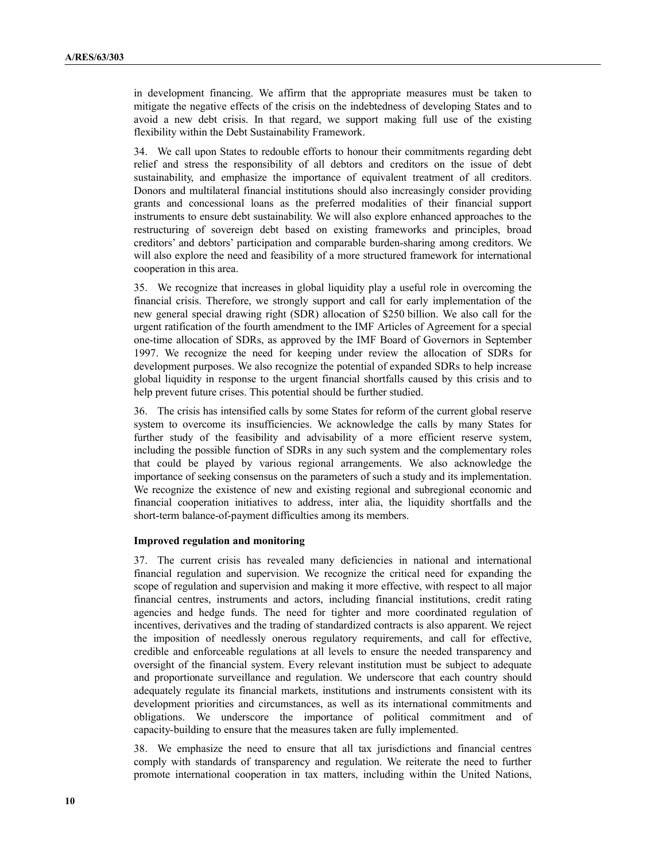in development financing. We affirm that the appropriate measures must be taken to mitigate the negative effects of the crisis on the indebtedness of developing States and to avoid a new debt crisis. In that regard, we support making full use of the existing flexibility within the Debt Sustainability Framework.

34. We call upon States to redouble efforts to honour their commitments regarding debt relief and stress the responsibility of all debtors and creditors on the issue of debt sustainability, and emphasize the importance of equivalent treatment of all creditors. Donors and multilateral financial institutions should also increasingly consider providing grants and concessional loans as the preferred modalities of their financial support instruments to ensure debt sustainability. We will also explore enhanced approaches to the restructuring of sovereign debt based on existing frameworks and principles, broad creditors' and debtors' participation and comparable burden-sharing among creditors. We will also explore the need and feasibility of a more structured framework for international cooperation in this area.

35. We recognize that increases in global liquidity play a useful role in overcoming the financial crisis. Therefore, we strongly support and call for early implementation of the new general special drawing right (SDR) allocation of \$250 billion. We also call for the urgent ratification of the fourth amendment to the IMF Articles of Agreement for a special one-time allocation of SDRs, as approved by the IMF Board of Governors in September 1997. We recognize the need for keeping under review the allocation of SDRs for development purposes. We also recognize the potential of expanded SDRs to help increase global liquidity in response to the urgent financial shortfalls caused by this crisis and to help prevent future crises. This potential should be further studied.

36. The crisis has intensified calls by some States for reform of the current global reserve system to overcome its insufficiencies. We acknowledge the calls by many States for further study of the feasibility and advisability of a more efficient reserve system, including the possible function of SDRs in any such system and the complementary roles that could be played by various regional arrangements. We also acknowledge the importance of seeking consensus on the parameters of such a study and its implementation. We recognize the existence of new and existing regional and subregional economic and financial cooperation initiatives to address, inter alia, the liquidity shortfalls and the short-term balance-of-payment difficulties among its members.

#### **Improved regulation and monitoring**

37. The current crisis has revealed many deficiencies in national and international financial regulation and supervision. We recognize the critical need for expanding the scope of regulation and supervision and making it more effective, with respect to all major financial centres, instruments and actors, including financial institutions, credit rating agencies and hedge funds. The need for tighter and more coordinated regulation of incentives, derivatives and the trading of standardized contracts is also apparent. We reject the imposition of needlessly onerous regulatory requirements, and call for effective, credible and enforceable regulations at all levels to ensure the needed transparency and oversight of the financial system. Every relevant institution must be subject to adequate and proportionate surveillance and regulation. We underscore that each country should adequately regulate its financial markets, institutions and instruments consistent with its development priorities and circumstances, as well as its international commitments and obligations. We underscore the importance of political commitment and of capacity-building to ensure that the measures taken are fully implemented.

38. We emphasize the need to ensure that all tax jurisdictions and financial centres comply with standards of transparency and regulation. We reiterate the need to further promote international cooperation in tax matters, including within the United Nations,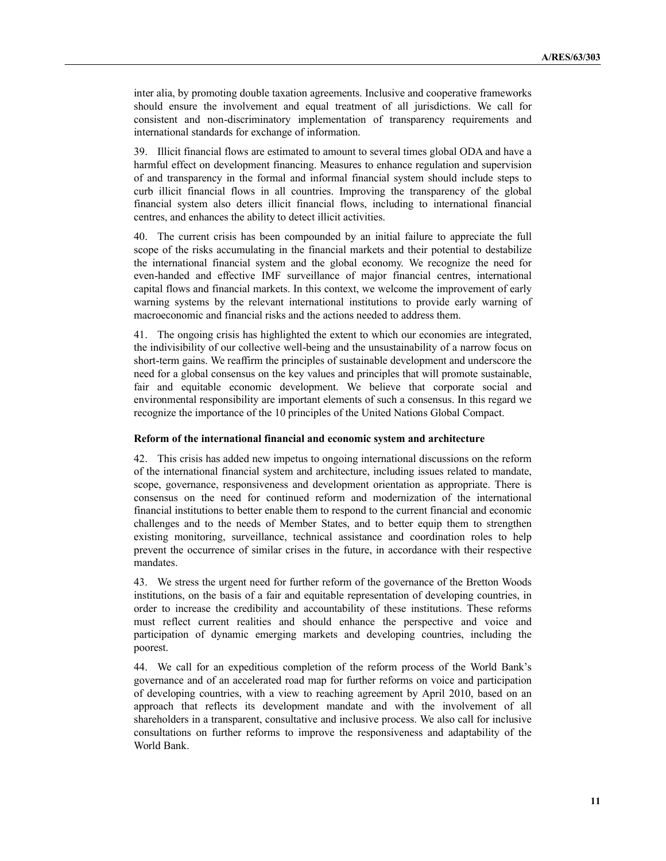inter alia, by promoting double taxation agreements. Inclusive and cooperative frameworks should ensure the involvement and equal treatment of all jurisdictions. We call for consistent and non-discriminatory implementation of transparency requirements and international standards for exchange of information.

39. Illicit financial flows are estimated to amount to several times global ODA and have a harmful effect on development financing. Measures to enhance regulation and supervision of and transparency in the formal and informal financial system should include steps to curb illicit financial flows in all countries. Improving the transparency of the global financial system also deters illicit financial flows, including to international financial centres, and enhances the ability to detect illicit activities.

40. The current crisis has been compounded by an initial failure to appreciate the full scope of the risks accumulating in the financial markets and their potential to destabilize the international financial system and the global economy. We recognize the need for even-handed and effective IMF surveillance of major financial centres, international capital flows and financial markets. In this context, we welcome the improvement of early warning systems by the relevant international institutions to provide early warning of macroeconomic and financial risks and the actions needed to address them.

41. The ongoing crisis has highlighted the extent to which our economies are integrated, the indivisibility of our collective well-being and the unsustainability of a narrow focus on short-term gains. We reaffirm the principles of sustainable development and underscore the need for a global consensus on the key values and principles that will promote sustainable, fair and equitable economic development. We believe that corporate social and environmental responsibility are important elements of such a consensus. In this regard we recognize the importance of the 10 principles of the United Nations Global Compact.

#### **Reform of the international financial and economic system and architecture**

42. This crisis has added new impetus to ongoing international discussions on the reform of the international financial system and architecture, including issues related to mandate, scope, governance, responsiveness and development orientation as appropriate. There is consensus on the need for continued reform and modernization of the international financial institutions to better enable them to respond to the current financial and economic challenges and to the needs of Member States, and to better equip them to strengthen existing monitoring, surveillance, technical assistance and coordination roles to help prevent the occurrence of similar crises in the future, in accordance with their respective mandates.

43. We stress the urgent need for further reform of the governance of the Bretton Woods institutions, on the basis of a fair and equitable representation of developing countries, in order to increase the credibility and accountability of these institutions. These reforms must reflect current realities and should enhance the perspective and voice and participation of dynamic emerging markets and developing countries, including the poorest.

44. We call for an expeditious completion of the reform process of the World Bank's governance and of an accelerated road map for further reforms on voice and participation of developing countries, with a view to reaching agreement by April 2010, based on an approach that reflects its development mandate and with the involvement of all shareholders in a transparent, consultative and inclusive process. We also call for inclusive consultations on further reforms to improve the responsiveness and adaptability of the World Bank.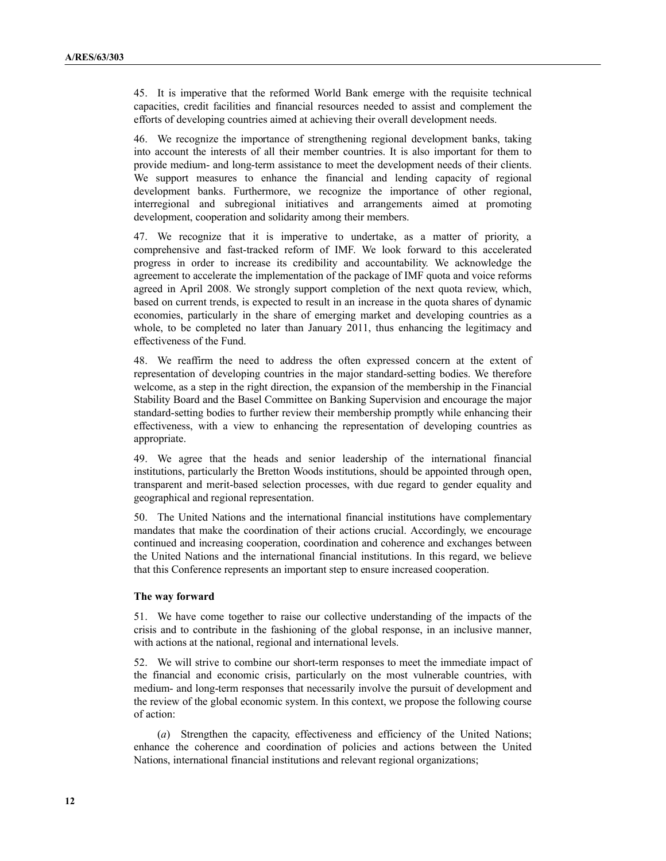45. It is imperative that the reformed World Bank emerge with the requisite technical capacities, credit facilities and financial resources needed to assist and complement the efforts of developing countries aimed at achieving their overall development needs.

46. We recognize the importance of strengthening regional development banks, taking into account the interests of all their member countries. It is also important for them to provide medium- and long-term assistance to meet the development needs of their clients. We support measures to enhance the financial and lending capacity of regional development banks. Furthermore, we recognize the importance of other regional, interregional and subregional initiatives and arrangements aimed at promoting development, cooperation and solidarity among their members.

47. We recognize that it is imperative to undertake, as a matter of priority, a comprehensive and fast-tracked reform of IMF. We look forward to this accelerated progress in order to increase its credibility and accountability. We acknowledge the agreement to accelerate the implementation of the package of IMF quota and voice reforms agreed in April 2008. We strongly support completion of the next quota review, which, based on current trends, is expected to result in an increase in the quota shares of dynamic economies, particularly in the share of emerging market and developing countries as a whole, to be completed no later than January 2011, thus enhancing the legitimacy and effectiveness of the Fund.

48. We reaffirm the need to address the often expressed concern at the extent of representation of developing countries in the major standard-setting bodies. We therefore welcome, as a step in the right direction, the expansion of the membership in the Financial Stability Board and the Basel Committee on Banking Supervision and encourage the major standard-setting bodies to further review their membership promptly while enhancing their effectiveness, with a view to enhancing the representation of developing countries as appropriate.

49. We agree that the heads and senior leadership of the international financial institutions, particularly the Bretton Woods institutions, should be appointed through open, transparent and merit-based selection processes, with due regard to gender equality and geographical and regional representation.

50. The United Nations and the international financial institutions have complementary mandates that make the coordination of their actions crucial. Accordingly, we encourage continued and increasing cooperation, coordination and coherence and exchanges between the United Nations and the international financial institutions. In this regard, we believe that this Conference represents an important step to ensure increased cooperation.

#### **The way forward**

51. We have come together to raise our collective understanding of the impacts of the crisis and to contribute in the fashioning of the global response, in an inclusive manner, with actions at the national, regional and international levels.

52. We will strive to combine our short-term responses to meet the immediate impact of the financial and economic crisis, particularly on the most vulnerable countries, with medium- and long-term responses that necessarily involve the pursuit of development and the review of the global economic system. In this context, we propose the following course of action:

(*a*) Strengthen the capacity, effectiveness and efficiency of the United Nations; enhance the coherence and coordination of policies and actions between the United Nations, international financial institutions and relevant regional organizations;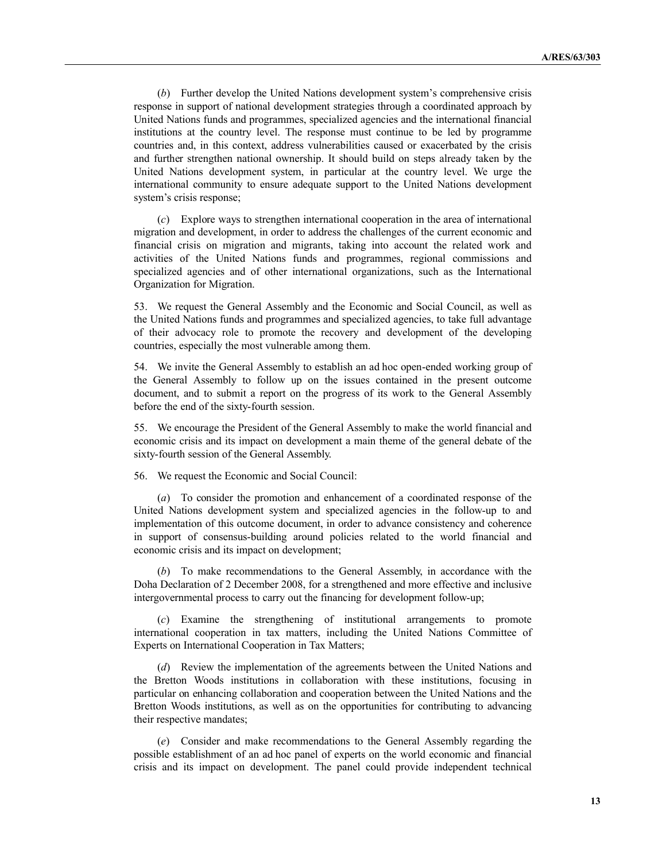(*b*) Further develop the United Nations development system's comprehensive crisis response in support of national development strategies through a coordinated approach by United Nations funds and programmes, specialized agencies and the international financial institutions at the country level. The response must continue to be led by programme countries and, in this context, address vulnerabilities caused or exacerbated by the crisis and further strengthen national ownership. It should build on steps already taken by the United Nations development system, in particular at the country level. We urge the international community to ensure adequate support to the United Nations development system's crisis response;

(*c*) Explore ways to strengthen international cooperation in the area of international migration and development, in order to address the challenges of the current economic and financial crisis on migration and migrants, taking into account the related work and activities of the United Nations funds and programmes, regional commissions and specialized agencies and of other international organizations, such as the International Organization for Migration.

53. We request the General Assembly and the Economic and Social Council, as well as the United Nations funds and programmes and specialized agencies, to take full advantage of their advocacy role to promote the recovery and development of the developing countries, especially the most vulnerable among them.

54. We invite the General Assembly to establish an ad hoc open-ended working group of the General Assembly to follow up on the issues contained in the present outcome document, and to submit a report on the progress of its work to the General Assembly before the end of the sixty-fourth session.

55. We encourage the President of the General Assembly to make the world financial and economic crisis and its impact on development a main theme of the general debate of the sixty-fourth session of the General Assembly.

56. We request the Economic and Social Council:

(*a*) To consider the promotion and enhancement of a coordinated response of the United Nations development system and specialized agencies in the follow-up to and implementation of this outcome document, in order to advance consistency and coherence in support of consensus-building around policies related to the world financial and economic crisis and its impact on development;

(*b*) To make recommendations to the General Assembly, in accordance with the Doha Declaration of 2 December 2008, for a strengthened and more effective and inclusive intergovernmental process to carry out the financing for development follow-up;

(*c*) Examine the strengthening of institutional arrangements to promote international cooperation in tax matters, including the United Nations Committee of Experts on International Cooperation in Tax Matters;

(*d*) Review the implementation of the agreements between the United Nations and the Bretton Woods institutions in collaboration with these institutions, focusing in particular on enhancing collaboration and cooperation between the United Nations and the Bretton Woods institutions, as well as on the opportunities for contributing to advancing their respective mandates;

(*e*) Consider and make recommendations to the General Assembly regarding the possible establishment of an ad hoc panel of experts on the world economic and financial crisis and its impact on development. The panel could provide independent technical